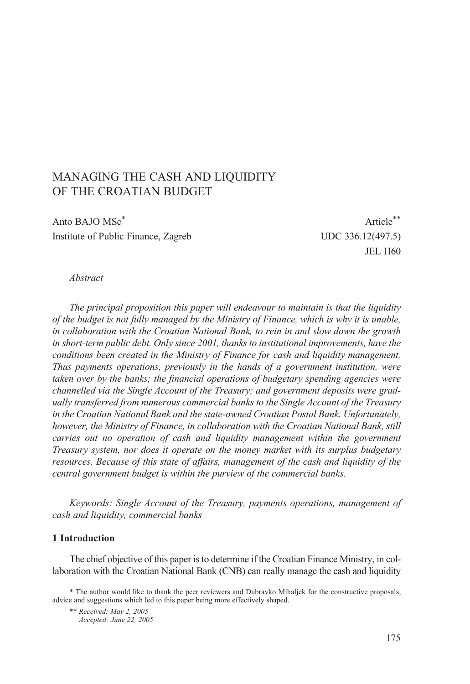# MANAGING THE CASH AND LIQUIDITY OF THE CROATIAN BUDGET

Anto BAJO MSc<sup>\*</sup> Article<sup>\*\*</sup> Institute of Public Finance, Zagreb UDC 336.12(497.5)

JEL H60

#### *Abstract*

*The principal proposition this paper will endeavour to maintain is that the liquidity of the budget is not fully managed by the Ministry of Finance, which is why it is unable, in collaboration with the Croatian National Bank, to rein in and slow down the growth in short-term public debt. Only since 2001, thanks to institutional improvements, have the conditions been created in the Ministry of Finance for cash and liquidity management. Thus payments operations, previously in the hands of a government institution, were taken over by the banks; the financial operations of budgetary spending agencies were channelled via the Single Account of the Treasury; and government deposits were gradually transferred from numerous commercial banks to the Single Account of the Treasury in the Croatian National Bank and the state-owned Croatian Postal Bank. Unfortunately, however, the Ministry of Finance, in collaboration with the Croatian National Bank, still carries out no operation of cash and liquidity management within the government Treasury system, nor does it operate on the money market with its surplus budgetary resources. Because of this state of affairs, management of the cash and liquidity of the central government budget is within the purview of the commercial banks.*

*Keywords: Single Account of the Treasury, payments operations, management of cash and liquidity, commercial banks*

#### **1 Introduction**

The chief objective of this paper is to determine if the Croatian Finance Ministry, in collaboration with the Croatian National Bank (CNB) can really manage the cash and liquidity

<sup>\*</sup> The author would like to thank the peer reviewers and Dubravko Mihaljek for the constructive proposals, advice and suggestions which led to this paper being more effectively shaped.

<sup>\*\*</sup> *Received: May 2, 2005*

*Accepted: June 22, 2005*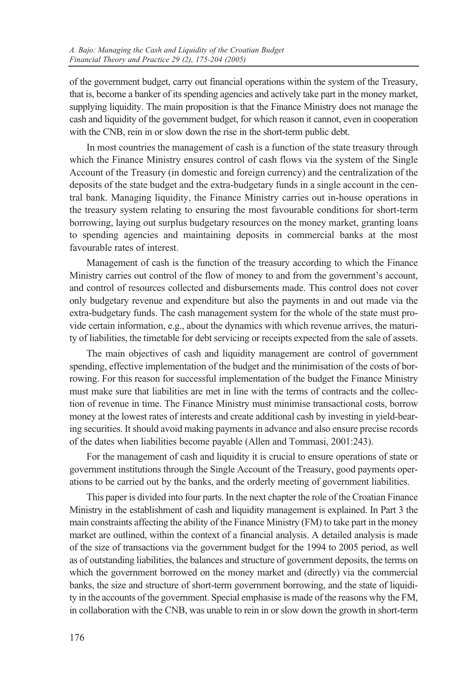of the government budget, carry out financial operations within the system of the Treasury, that is, become a banker of its spending agencies and actively take part in the money market, supplying liquidity. The main proposition is that the Finance Ministry does not manage the cash and liquidity of the government budget, for which reason it cannot, even in cooperation with the CNB, rein in or slow down the rise in the short-term public debt.

In most countries the management of cash is a function of the state treasury through which the Finance Ministry ensures control of cash flows via the system of the Single Account of the Treasury (in domestic and foreign currency) and the centralization of the deposits of the state budget and the extra-budgetary funds in a single account in the central bank. Managing liquidity, the Finance Ministry carries out in-house operations in the treasury system relating to ensuring the most favourable conditions for short-term borrowing, laying out surplus budgetary resources on the money market, granting loans to spending agencies and maintaining deposits in commercial banks at the most favourable rates of interest.

Management of cash is the function of the treasury according to which the Finance Ministry carries out control of the flow of money to and from the government's account, and control of resources collected and disbursements made. This control does not cover only budgetary revenue and expenditure but also the payments in and out made via the extra-budgetary funds. The cash management system for the whole of the state must provide certain information, e.g., about the dynamics with which revenue arrives, the maturity of liabilities, the timetable for debt servicing or receipts expected from the sale of assets.

The main objectives of cash and liquidity management are control of government spending, effective implementation of the budget and the minimisation of the costs of borrowing. For this reason for successful implementation of the budget the Finance Ministry must make sure that liabilities are met in line with the terms of contracts and the collection of revenue in time. The Finance Ministry must minimise transactional costs, borrow money at the lowest rates of interests and create additional cash by investing in yield-bearing securities. It should avoid making payments in advance and also ensure precise records of the dates when liabilities become payable (Allen and Tommasi, 2001:243).

For the management of cash and liquidity it is crucial to ensure operations of state or government institutions through the Single Account of the Treasury, good payments operations to be carried out by the banks, and the orderly meeting of government liabilities.

This paper is divided into four parts. In the next chapter the role of the Croatian Finance Ministry in the establishment of cash and liquidity management is explained. In Part 3 the main constraints affecting the ability of the Finance Ministry (FM) to take part in the money market are outlined, within the context of a financial analysis. A detailed analysis is made of the size of transactions via the government budget for the 1994 to 2005 period, as well as of outstanding liabilities, the balances and structure of government deposits, the terms on which the government borrowed on the money market and (directly) via the commercial banks, the size and structure of short-term government borrowing, and the state of liquidity in the accounts of the government. Special emphasise is made of the reasons why the FM, in collaboration with the CNB, was unable to rein in or slow down the growth in short-term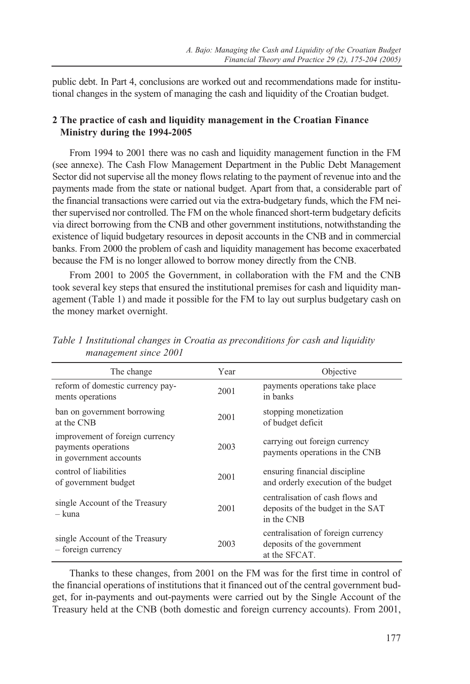public debt. In Part 4, conclusions are worked out and recommendations made for institutional changes in the system of managing the cash and liquidity of the Croatian budget.

## **2 The practice of cash and liquidity management in the Croatian Finance Ministry during the 1994-2005**

From 1994 to 2001 there was no cash and liquidity management function in the FM (see annexe). The Cash Flow Management Department in the Public Debt Management Sector did not supervise all the money flows relating to the payment of revenue into and the payments made from the state or national budget. Apart from that, a considerable part of the financial transactions were carried out via the extra-budgetary funds, which the FM neither supervised nor controlled. The FM on the whole financed short-term budgetary deficits via direct borrowing from the CNB and other government institutions, notwithstanding the existence of liquid budgetary resources in deposit accounts in the CNB and in commercial banks. From 2000 the problem of cash and liquidity management has become exacerbated because the FM is no longer allowed to borrow money directly from the CNB.

From 2001 to 2005 the Government, in collaboration with the FM and the CNB took several key steps that ensured the institutional premises for cash and liquidity management (Table 1) and made it possible for the FM to lay out surplus budgetary cash on the money market overnight.

| The change                                                                       | Year | Objective                                                                           |
|----------------------------------------------------------------------------------|------|-------------------------------------------------------------------------------------|
| reform of domestic currency pay-<br>ments operations                             | 2001 | payments operations take place<br>in banks                                          |
| ban on government borrowing<br>at the CNB                                        | 2001 | stopping monetization<br>of budget deficit                                          |
| improvement of foreign currency<br>payments operations<br>in government accounts | 2003 | carrying out foreign currency<br>payments operations in the CNB                     |
| control of liabilities<br>of government budget                                   | 2001 | ensuring financial discipline<br>and orderly execution of the budget                |
| single Account of the Treasury<br>– kuna                                         | 2001 | centralisation of cash flows and<br>deposits of the budget in the SAT<br>in the CNB |
| single Account of the Treasury<br>- foreign currency                             | 2003 | centralisation of foreign currency<br>deposits of the government<br>at the SFCAT.   |

*Table 1 Institutional changes in Croatia as preconditions for cash and liquidity management since 2001*

Thanks to these changes, from 2001 on the FM was for the first time in control of the financial operations of institutions that it financed out of the central government budget, for in-payments and out-payments were carried out by the Single Account of the Treasury held at the CNB (both domestic and foreign currency accounts). From 2001,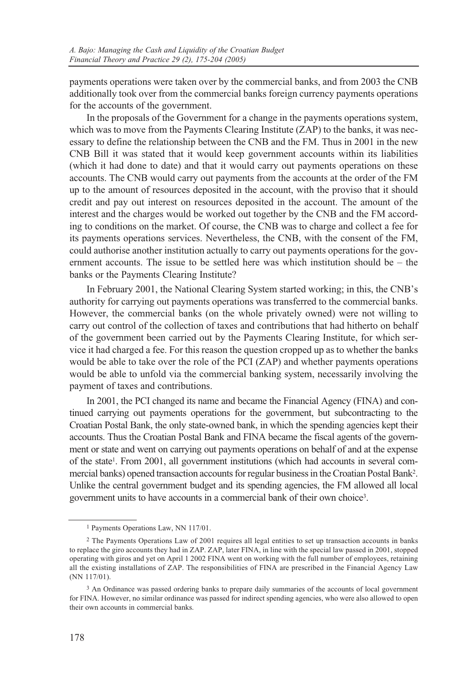payments operations were taken over by the commercial banks, and from 2003 the CNB additionally took over from the commercial banks foreign currency payments operations for the accounts of the government.

In the proposals of the Government for a change in the payments operations system, which was to move from the Payments Clearing Institute (ZAP) to the banks, it was necessary to define the relationship between the CNB and the FM. Thus in 2001 in the new CNB Bill it was stated that it would keep government accounts within its liabilities (which it had done to date) and that it would carry out payments operations on these accounts. The CNB would carry out payments from the accounts at the order of the FM up to the amount of resources deposited in the account, with the proviso that it should credit and pay out interest on resources deposited in the account. The amount of the interest and the charges would be worked out together by the CNB and the FM according to conditions on the market. Of course, the CNB was to charge and collect a fee for its payments operations services. Nevertheless, the CNB, with the consent of the FM, could authorise another institution actually to carry out payments operations for the government accounts. The issue to be settled here was which institution should be – the banks or the Payments Clearing Institute?

In February 2001, the National Clearing System started working; in this, the CNB's authority for carrying out payments operations was transferred to the commercial banks. However, the commercial banks (on the whole privately owned) were not willing to carry out control of the collection of taxes and contributions that had hitherto on behalf of the government been carried out by the Payments Clearing Institute, for which service it had charged a fee. For this reason the question cropped up as to whether the banks would be able to take over the role of the PCI (ZAP) and whether payments operations would be able to unfold via the commercial banking system, necessarily involving the payment of taxes and contributions.

In 2001, the PCI changed its name and became the Financial Agency (FINA) and continued carrying out payments operations for the government, but subcontracting to the Croatian Postal Bank, the only state-owned bank, in which the spending agencies kept their accounts. Thus the Croatian Postal Bank and FINA became the fiscal agents of the government or state and went on carrying out payments operations on behalf of and at the expense of the state1. From 2001, all government institutions (which had accounts in several commercial banks) opened transaction accounts for regular business in the Croatian Postal Bank2. Unlike the central government budget and its spending agencies, the FM allowed all local government units to have accounts in a commercial bank of their own choice3.

<sup>1</sup> Payments Operations Law, NN 117/01.

<sup>2</sup> The Payments Operations Law of 2001 requires all legal entities to set up transaction accounts in banks to replace the giro accounts they had in ZAP. ZAP, later FINA, in line with the special law passed in 2001, stopped operating with giros and yet on April 1 2002 FINA went on working with the full number of employees, retaining all the existing installations of ZAP. The responsibilities of FINA are prescribed in the Financial Agency Law (NN 117/01).

<sup>3</sup> An Ordinance was passed ordering banks to prepare daily summaries of the accounts of local government for FINA. However, no similar ordinance was passed for indirect spending agencies, who were also allowed to open their own accounts in commercial banks.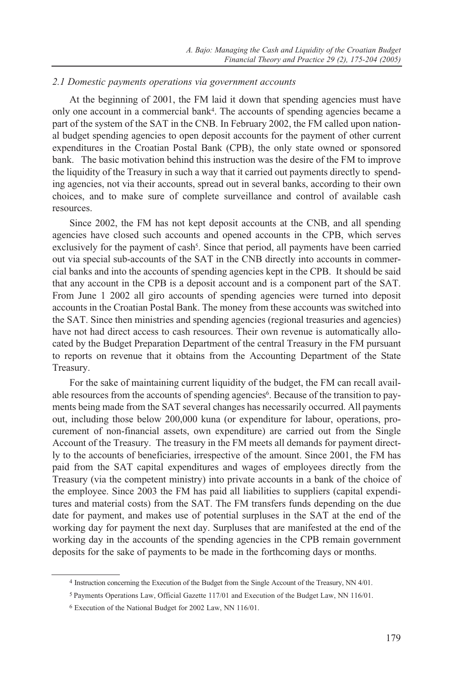#### *2.1 Domestic payments operations via government accounts*

At the beginning of 2001, the FM laid it down that spending agencies must have only one account in a commercial bank4. The accounts of spending agencies became a part of the system of the SAT in the CNB. In February 2002, the FM called upon national budget spending agencies to open deposit accounts for the payment of other current expenditures in the Croatian Postal Bank (CPB), the only state owned or sponsored bank. The basic motivation behind this instruction was the desire of the FM to improve the liquidity of the Treasury in such a way that it carried out payments directly to spending agencies, not via their accounts, spread out in several banks, according to their own choices, and to make sure of complete surveillance and control of available cash resources.

Since 2002, the FM has not kept deposit accounts at the CNB, and all spending agencies have closed such accounts and opened accounts in the CPB, which serves exclusively for the payment of cash<sup>5</sup>. Since that period, all payments have been carried out via special sub-accounts of the SAT in the CNB directly into accounts in commercial banks and into the accounts of spending agencies kept in the CPB. It should be said that any account in the CPB is a deposit account and is a component part of the SAT. From June 1 2002 all giro accounts of spending agencies were turned into deposit accounts in the Croatian Postal Bank. The money from these accounts was switched into the SAT. Since then ministries and spending agencies (regional treasuries and agencies) have not had direct access to cash resources. Their own revenue is automatically allocated by the Budget Preparation Department of the central Treasury in the FM pursuant to reports on revenue that it obtains from the Accounting Department of the State Treasury.

For the sake of maintaining current liquidity of the budget, the FM can recall available resources from the accounts of spending agencies<sup>6</sup>. Because of the transition to payments being made from the SAT several changes has necessarily occurred. All payments out, including those below 200,000 kuna (or expenditure for labour, operations, procurement of non-financial assets, own expenditure) are carried out from the Single Account of the Treasury. The treasury in the FM meets all demands for payment directly to the accounts of beneficiaries, irrespective of the amount. Since 2001, the FM has paid from the SAT capital expenditures and wages of employees directly from the Treasury (via the competent ministry) into private accounts in a bank of the choice of the employee. Since 2003 the FM has paid all liabilities to suppliers (capital expenditures and material costs) from the SAT. The FM transfers funds depending on the due date for payment, and makes use of potential surpluses in the SAT at the end of the working day for payment the next day. Surpluses that are manifested at the end of the working day in the accounts of the spending agencies in the CPB remain government deposits for the sake of payments to be made in the forthcoming days or months.

<sup>4</sup> Instruction concerning the Execution of the Budget from the Single Account of the Treasury, NN 4/01.

<sup>5</sup> Payments Operations Law, Official Gazette 117/01 and Execution of the Budget Law, NN 116/01.

<sup>6</sup> Execution of the National Budget for 2002 Law, NN 116/01.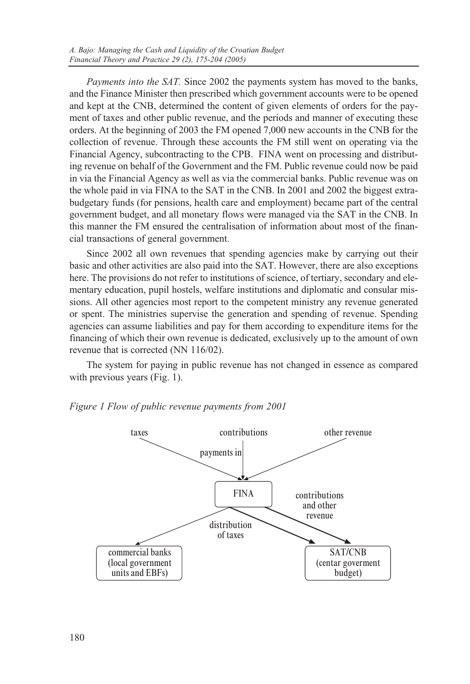*Payments into the SAT.* Since 2002 the payments system has moved to the banks, and the Finance Minister then prescribed which government accounts were to be opened and kept at the CNB, determined the content of given elements of orders for the payment of taxes and other public revenue, and the periods and manner of executing these orders. At the beginning of 2003 the FM opened 7,000 new accounts in the CNB for the collection of revenue. Through these accounts the FM still went on operating via the Financial Agency, subcontracting to the CPB. FINA went on processing and distributing revenue on behalf of the Government and the FM. Public revenue could now be paid in via the Financial Agency as well as via the commercial banks. Public revenue was on the whole paid in via FINA to the SAT in the CNB. In 2001 and 2002 the biggest extrabudgetary funds (for pensions, health care and employment) became part of the central government budget, and all monetary flows were managed via the SAT in the CNB. In this manner the FM ensured the centralisation of information about most of the financial transactions of general government.

Since 2002 all own revenues that spending agencies make by carrying out their basic and other activities are also paid into the SAT. However, there are also exceptions here. The provisions do not refer to institutions of science, of tertiary, secondary and elementary education, pupil hostels, welfare institutions and diplomatic and consular missions. All other agencies most report to the competent ministry any revenue generated or spent. The ministries supervise the generation and spending of revenue. Spending agencies can assume liabilities and pay for them according to expenditure items for the financing of which their own revenue is dedicated, exclusively up to the amount of own revenue that is corrected (NN 116/02).

The system for paying in public revenue has not changed in essence as compared with previous years (Fig. 1).



*Figure 1 Flow of public revenue payments from 2001*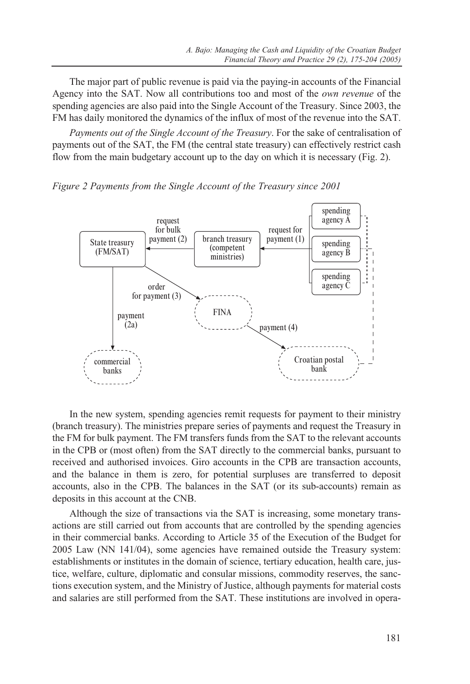The major part of public revenue is paid via the paying-in accounts of the Financial Agency into the SAT. Now all contributions too and most of the *own revenue* of the spending agencies are also paid into the Single Account of the Treasury. Since 2003, the FM has daily monitored the dynamics of the influx of most of the revenue into the SAT.

*Payments out of the Single Account of the Treasury*. For the sake of centralisation of payments out of the SAT, the FM (the central state treasury) can effectively restrict cash flow from the main budgetary account up to the day on which it is necessary (Fig. 2).





In the new system, spending agencies remit requests for payment to their ministry (branch treasury). The ministries prepare series of payments and request the Treasury in the FM for bulk payment. The FM transfers funds from the SAT to the relevant accounts in the CPB or (most often) from the SAT directly to the commercial banks, pursuant to received and authorised invoices. Giro accounts in the CPB are transaction accounts, and the balance in them is zero, for potential surpluses are transferred to deposit accounts, also in the CPB. The balances in the SAT (or its sub-accounts) remain as deposits in this account at the CNB.

Although the size of transactions via the SAT is increasing, some monetary transactions are still carried out from accounts that are controlled by the spending agencies in their commercial banks. According to Article 35 of the Execution of the Budget for 2005 Law (NN 141/04), some agencies have remained outside the Treasury system: establishments or institutes in the domain of science, tertiary education, health care, justice, welfare, culture, diplomatic and consular missions, commodity reserves, the sanctions execution system, and the Ministry of Justice, although payments for material costs and salaries are still performed from the SAT. These institutions are involved in opera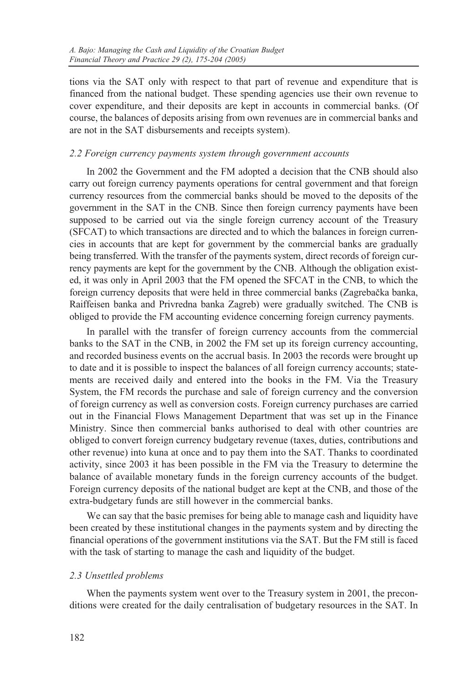tions via the SAT only with respect to that part of revenue and expenditure that is financed from the national budget. These spending agencies use their own revenue to cover expenditure, and their deposits are kept in accounts in commercial banks. (Of course, the balances of deposits arising from own revenues are in commercial banks and are not in the SAT disbursements and receipts system).

## *2.2 Foreign currency payments system through government accounts*

In 2002 the Government and the FM adopted a decision that the CNB should also carry out foreign currency payments operations for central government and that foreign currency resources from the commercial banks should be moved to the deposits of the government in the SAT in the CNB. Since then foreign currency payments have been supposed to be carried out via the single foreign currency account of the Treasury (SFCAT) to which transactions are directed and to which the balances in foreign currencies in accounts that are kept for government by the commercial banks are gradually being transferred. With the transfer of the payments system, direct records of foreign currency payments are kept for the government by the CNB. Although the obligation existed, it was only in April 2003 that the FM opened the SFCAT in the CNB, to which the foreign currency deposits that were held in three commercial banks (Zagrebaèka banka, Raiffeisen banka and Privredna banka Zagreb) were gradually switched. The CNB is obliged to provide the FM accounting evidence concerning foreign currency payments.

In parallel with the transfer of foreign currency accounts from the commercial banks to the SAT in the CNB, in 2002 the FM set up its foreign currency accounting, and recorded business events on the accrual basis. In 2003 the records were brought up to date and it is possible to inspect the balances of all foreign currency accounts; statements are received daily and entered into the books in the FM. Via the Treasury System, the FM records the purchase and sale of foreign currency and the conversion of foreign currency as well as conversion costs. Foreign currency purchases are carried out in the Financial Flows Management Department that was set up in the Finance Ministry. Since then commercial banks authorised to deal with other countries are obliged to convert foreign currency budgetary revenue (taxes, duties, contributions and other revenue) into kuna at once and to pay them into the SAT. Thanks to coordinated activity, since 2003 it has been possible in the FM via the Treasury to determine the balance of available monetary funds in the foreign currency accounts of the budget. Foreign currency deposits of the national budget are kept at the CNB, and those of the extra-budgetary funds are still however in the commercial banks.

We can say that the basic premises for being able to manage cash and liquidity have been created by these institutional changes in the payments system and by directing the financial operations of the government institutions via the SAT. But the FM still is faced with the task of starting to manage the cash and liquidity of the budget.

## *2.3 Unsettled problems*

When the payments system went over to the Treasury system in 2001, the preconditions were created for the daily centralisation of budgetary resources in the SAT. In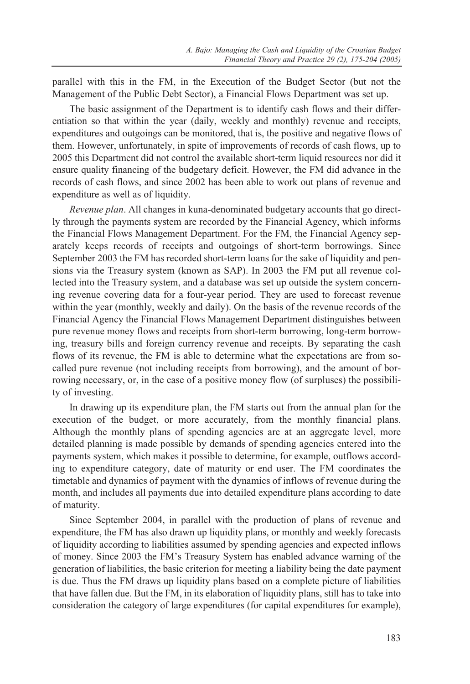parallel with this in the FM, in the Execution of the Budget Sector (but not the Management of the Public Debt Sector), a Financial Flows Department was set up.

The basic assignment of the Department is to identify cash flows and their differentiation so that within the year (daily, weekly and monthly) revenue and receipts, expenditures and outgoings can be monitored, that is, the positive and negative flows of them. However, unfortunately, in spite of improvements of records of cash flows, up to 2005 this Department did not control the available short-term liquid resources nor did it ensure quality financing of the budgetary deficit. However, the FM did advance in the records of cash flows, and since 2002 has been able to work out plans of revenue and expenditure as well as of liquidity.

*Revenue plan*. All changes in kuna-denominated budgetary accounts that go directly through the payments system are recorded by the Financial Agency, which informs the Financial Flows Management Department. For the FM, the Financial Agency separately keeps records of receipts and outgoings of short-term borrowings. Since September 2003 the FM has recorded short-term loans for the sake of liquidity and pensions via the Treasury system (known as SAP). In 2003 the FM put all revenue collected into the Treasury system, and a database was set up outside the system concerning revenue covering data for a four-year period. They are used to forecast revenue within the year (monthly, weekly and daily). On the basis of the revenue records of the Financial Agency the Financial Flows Management Department distinguishes between pure revenue money flows and receipts from short-term borrowing, long-term borrowing, treasury bills and foreign currency revenue and receipts. By separating the cash flows of its revenue, the FM is able to determine what the expectations are from socalled pure revenue (not including receipts from borrowing), and the amount of borrowing necessary, or, in the case of a positive money flow (of surpluses) the possibility of investing.

In drawing up its expenditure plan, the FM starts out from the annual plan for the execution of the budget, or more accurately, from the monthly financial plans. Although the monthly plans of spending agencies are at an aggregate level, more detailed planning is made possible by demands of spending agencies entered into the payments system, which makes it possible to determine, for example, outflows according to expenditure category, date of maturity or end user. The FM coordinates the timetable and dynamics of payment with the dynamics of inflows of revenue during the month, and includes all payments due into detailed expenditure plans according to date of maturity.

Since September 2004, in parallel with the production of plans of revenue and expenditure, the FM has also drawn up liquidity plans, or monthly and weekly forecasts of liquidity according to liabilities assumed by spending agencies and expected inflows of money. Since 2003 the FM's Treasury System has enabled advance warning of the generation of liabilities, the basic criterion for meeting a liability being the date payment is due. Thus the FM draws up liquidity plans based on a complete picture of liabilities that have fallen due. But the FM, in its elaboration of liquidity plans, still has to take into consideration the category of large expenditures (for capital expenditures for example),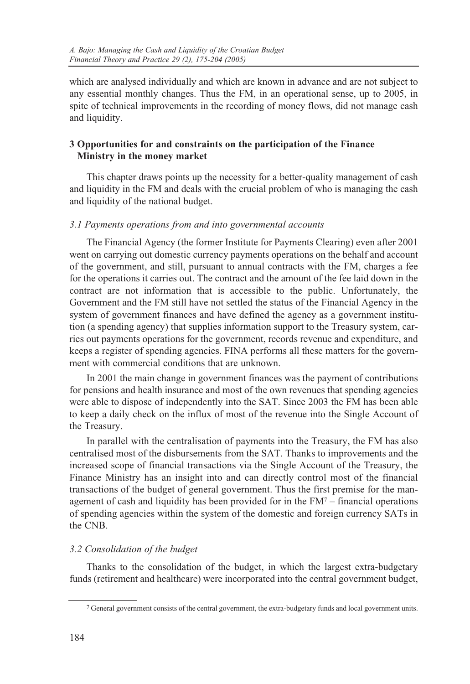which are analysed individually and which are known in advance and are not subject to any essential monthly changes. Thus the FM, in an operational sense, up to 2005, in spite of technical improvements in the recording of money flows, did not manage cash and liquidity.

# **3 Opportunities for and constraints on the participation of the Finance Ministry in the money market**

This chapter draws points up the necessity for a better-quality management of cash and liquidity in the FM and deals with the crucial problem of who is managing the cash and liquidity of the national budget.

## *3.1 Payments operations from and into governmental accounts*

The Financial Agency (the former Institute for Payments Clearing) even after 2001 went on carrying out domestic currency payments operations on the behalf and account of the government, and still, pursuant to annual contracts with the FM, charges a fee for the operations it carries out. The contract and the amount of the fee laid down in the contract are not information that is accessible to the public. Unfortunately, the Government and the FM still have not settled the status of the Financial Agency in the system of government finances and have defined the agency as a government institution (a spending agency) that supplies information support to the Treasury system, carries out payments operations for the government, records revenue and expenditure, and keeps a register of spending agencies. FINA performs all these matters for the government with commercial conditions that are unknown.

In 2001 the main change in government finances was the payment of contributions for pensions and health insurance and most of the own revenues that spending agencies were able to dispose of independently into the SAT. Since 2003 the FM has been able to keep a daily check on the influx of most of the revenue into the Single Account of the Treasury.

In parallel with the centralisation of payments into the Treasury, the FM has also centralised most of the disbursements from the SAT. Thanks to improvements and the increased scope of financial transactions via the Single Account of the Treasury, the Finance Ministry has an insight into and can directly control most of the financial transactions of the budget of general government. Thus the first premise for the management of cash and liquidity has been provided for in the FM7 – financial operations of spending agencies within the system of the domestic and foreign currency SATs in the CNB.

# *3.2 Consolidation of the budget*

Thanks to the consolidation of the budget, in which the largest extra-budgetary funds (retirement and healthcare) were incorporated into the central government budget,

<sup>7</sup> General government consists of the central government, the extra-budgetary funds and local government units.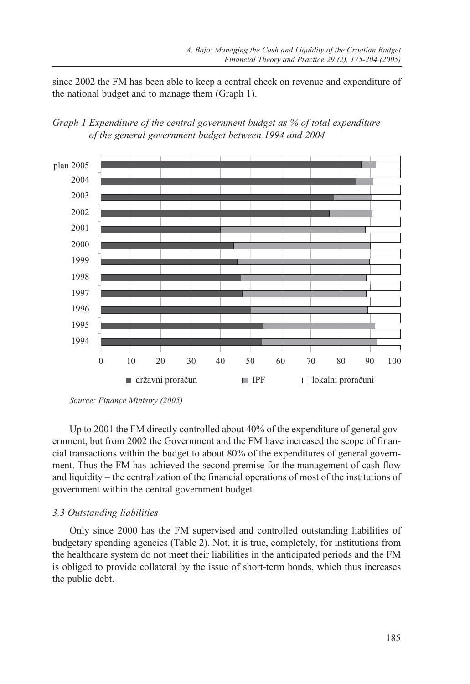since 2002 the FM has been able to keep a central check on revenue and expenditure of the national budget and to manage them (Graph 1).





*Source: Finance Ministry (2005)*

Up to 2001 the FM directly controlled about 40% of the expenditure of general government, but from 2002 the Government and the FM have increased the scope of financial transactions within the budget to about 80% of the expenditures of general government. Thus the FM has achieved the second premise for the management of cash flow and liquidity – the centralization of the financial operations of most of the institutions of government within the central government budget.

## *3.3 Outstanding liabilities*

Only since 2000 has the FM supervised and controlled outstanding liabilities of budgetary spending agencies (Table 2). Not, it is true, completely, for institutions from the healthcare system do not meet their liabilities in the anticipated periods and the FM is obliged to provide collateral by the issue of short-term bonds, which thus increases the public debt.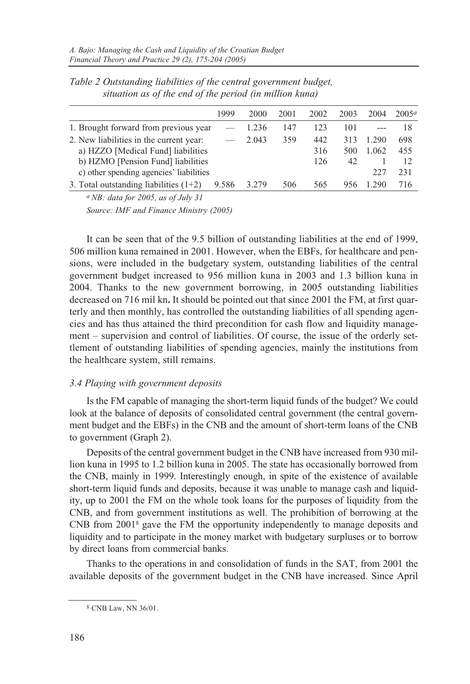|                                          | 1999  | 2000  | 2001 | 2002 | 2003 | 2004  | 2005a |
|------------------------------------------|-------|-------|------|------|------|-------|-------|
| 1. Brought forward from previous year    |       | 1.236 | 147  | 123  | 101  |       | 18    |
| 2. New liabilities in the current year:  |       | 2.043 | 359  | 442  | 313  | 1.290 | 698   |
| a) HZZO [Medical Fund] liabilities       |       |       |      | 316  | 500  | 1.062 | 455   |
| b) HZMO [Pension Fund] liabilities       |       |       | 126  | 42   |      | 12    |       |
| c) other spending agencies' liabilities  |       |       |      |      |      | 227   | 231   |
| 3. Total outstanding liabilities $(1+2)$ | 9.586 | 3.279 | 506  | 565  | 956  | 290   | 716   |

*Table 2 Outstanding liabilities of the central government budget, situation as of the end of the period (in million kuna)*

*a NB: data for 2005, as of July 31 Source: IMF and Finance Ministry (2005)* 

It can be seen that of the 9.5 billion of outstanding liabilities at the end of 1999, 506 million kuna remained in 2001. However, when the EBFs, for healthcare and pensions, were included in the budgetary system, outstanding liabilities of the central government budget increased to 956 million kuna in 2003 and 1.3 billion kuna in 2004. Thanks to the new government borrowing, in 2005 outstanding liabilities decreased on 716 mil kn**.** It should be pointed out that since 2001 the FM, at first quarterly and then monthly, has controlled the outstanding liabilities of all spending agencies and has thus attained the third precondition for cash flow and liquidity management – supervision and control of liabilities. Of course, the issue of the orderly settlement of outstanding liabilities of spending agencies, mainly the institutions from the healthcare system, still remains.

## *3.4 Playing with government deposits*

Is the FM capable of managing the short-term liquid funds of the budget? We could look at the balance of deposits of consolidated central government (the central government budget and the EBFs) in the CNB and the amount of short-term loans of the CNB to government (Graph 2).

Deposits of the central government budget in the CNB have increased from 930 million kuna in 1995 to 1.2 billion kuna in 2005. The state has occasionally borrowed from the CNB, mainly in 1999. Interestingly enough, in spite of the existence of available short-term liquid funds and deposits, because it was unable to manage cash and liquidity, up to 2001 the FM on the whole took loans for the purposes of liquidity from the CNB, and from government institutions as well. The prohibition of borrowing at the CNB from 20018 gave the FM the opportunity independently to manage deposits and liquidity and to participate in the money market with budgetary surpluses or to borrow by direct loans from commercial banks.

Thanks to the operations in and consolidation of funds in the SAT, from 2001 the available deposits of the government budget in the CNB have increased. Since April

<sup>8</sup> CNB Law, NN 36/01.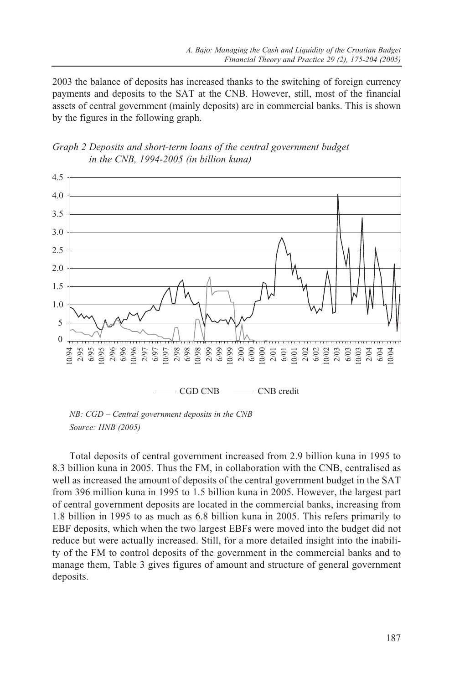2003 the balance of deposits has increased thanks to the switching of foreign currency payments and deposits to the SAT at the CNB. However, still, most of the financial assets of central government (mainly deposits) are in commercial banks. This is shown by the figures in the following graph.





*NB: CGD – Central government deposits in the CNB Source: HNB (2005)* 

Total deposits of central government increased from 2.9 billion kuna in 1995 to 8.3 billion kuna in 2005. Thus the FM, in collaboration with the CNB, centralised as well as increased the amount of deposits of the central government budget in the SAT from 396 million kuna in 1995 to 1.5 billion kuna in 2005. However, the largest part of central government deposits are located in the commercial banks, increasing from 1.8 billion in 1995 to as much as 6.8 billion kuna in 2005. This refers primarily to EBF deposits, which when the two largest EBFs were moved into the budget did not reduce but were actually increased. Still, for a more detailed insight into the inability of the FM to control deposits of the government in the commercial banks and to manage them, Table 3 gives figures of amount and structure of general government deposits.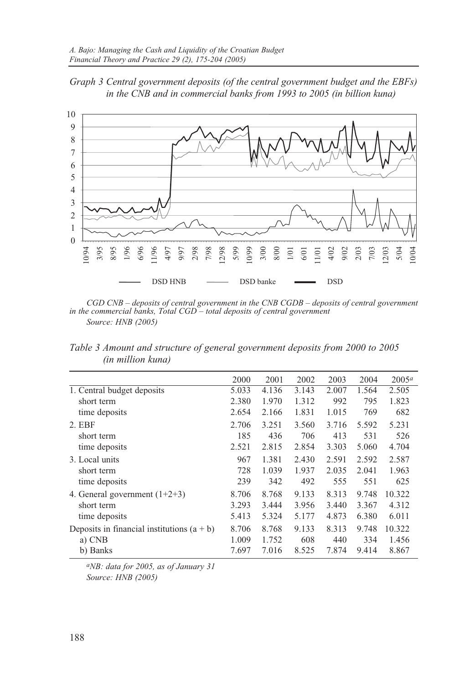



*CGD CNB – deposits of central government in the CNB CGDB – deposits of central government in the commercial banks, Total CGD – total deposits of central government Source: HNB (2005)* 

*Table 3 Amount and structure of general government deposits from 2000 to 2005 (in million kuna)*

|                                              | 2000  | 2001  | 2002  | 2003  | 2004  | $2005^a$ |
|----------------------------------------------|-------|-------|-------|-------|-------|----------|
| 1. Central budget deposits                   | 5.033 | 4.136 | 3.143 | 2.007 | 1.564 | 2.505    |
| short term                                   | 2.380 | 1.970 | 1.312 | 992   | 795   | 1.823    |
| time deposits                                | 2.654 | 2.166 | 1.831 | 1.015 | 769   | 682      |
| $2.$ EBF                                     | 2.706 | 3.251 | 3.560 | 3.716 | 5.592 | 5.231    |
| short term                                   | 185   | 436   | 706   | 413   | 531   | 526      |
| time deposits                                | 2.521 | 2.815 | 2.854 | 3.303 | 5.060 | 4.704    |
| 3. Local units                               | 967   | 1.381 | 2.430 | 2.591 | 2.592 | 2.587    |
| short term                                   | 728   | 1.039 | 1.937 | 2.035 | 2.041 | 1.963    |
| time deposits                                | 239   | 342   | 492   | 555   | 551   | 625      |
| 4. General government $(1+2+3)$              | 8.706 | 8.768 | 9.133 | 8.313 | 9.748 | 10.322   |
| short term                                   | 3.293 | 3.444 | 3.956 | 3.440 | 3.367 | 4.312    |
| time deposits                                | 5.413 | 5.324 | 5.177 | 4.873 | 6.380 | 6.011    |
| Deposits in financial institutions $(a + b)$ | 8.706 | 8.768 | 9.133 | 8.313 | 9.748 | 10.322   |
| a) CNB                                       | 1.009 | 1.752 | 608   | 440   | 334   | 1.456    |
| b) Banks                                     | 7.697 | 7.016 | 8.525 | 7.874 | 9.414 | 8.867    |

*aNB: data for 2005, as of January 31 Source: HNB (2005)*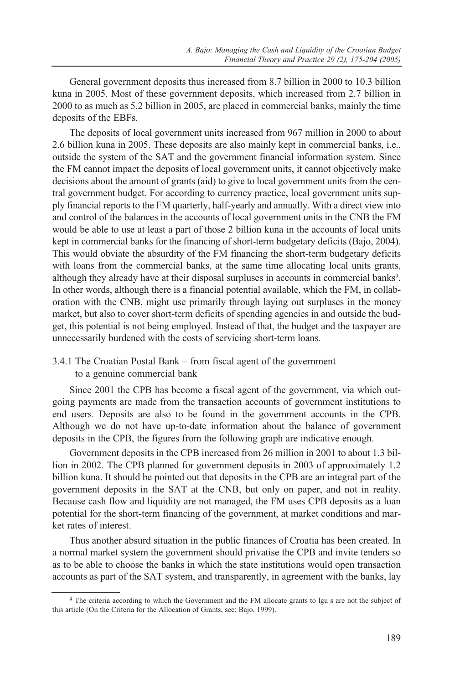General government deposits thus increased from 8.7 billion in 2000 to 10.3 billion kuna in 2005. Most of these government deposits, which increased from 2.7 billion in 2000 to as much as 5.2 billion in 2005, are placed in commercial banks, mainly the time deposits of the EBFs.

The deposits of local government units increased from 967 million in 2000 to about 2.6 billion kuna in 2005. These deposits are also mainly kept in commercial banks, i.e., outside the system of the SAT and the government financial information system. Since the FM cannot impact the deposits of local government units, it cannot objectively make decisions about the amount of grants (aid) to give to local government units from the central government budget. For according to currency practice, local government units supply financial reports to the FM quarterly, half-yearly and annually. With a direct view into and control of the balances in the accounts of local government units in the CNB the FM would be able to use at least a part of those 2 billion kuna in the accounts of local units kept in commercial banks for the financing of short-term budgetary deficits (Bajo, 2004). This would obviate the absurdity of the FM financing the short-term budgetary deficits with loans from the commercial banks, at the same time allocating local units grants, although they already have at their disposal surpluses in accounts in commercial banks9. In other words, although there is a financial potential available, which the FM, in collaboration with the CNB, might use primarily through laying out surpluses in the money market, but also to cover short-term deficits of spending agencies in and outside the budget, this potential is not being employed. Instead of that, the budget and the taxpayer are unnecessarily burdened with the costs of servicing short-term loans.

3.4.1 The Croatian Postal Bank – from fiscal agent of the government to a genuine commercial bank

Since 2001 the CPB has become a fiscal agent of the government, via which outgoing payments are made from the transaction accounts of government institutions to end users. Deposits are also to be found in the government accounts in the CPB. Although we do not have up-to-date information about the balance of government deposits in the CPB, the figures from the following graph are indicative enough.

Government deposits in the CPB increased from 26 million in 2001 to about 1.3 billion in 2002. The CPB planned for government deposits in 2003 of approximately 1.2 billion kuna. It should be pointed out that deposits in the CPB are an integral part of the government deposits in the SAT at the CNB, but only on paper, and not in reality. Because cash flow and liquidity are not managed, the FM uses CPB deposits as a loan potential for the short-term financing of the government, at market conditions and market rates of interest.

Thus another absurd situation in the public finances of Croatia has been created. In a normal market system the government should privatise the CPB and invite tenders so as to be able to choose the banks in which the state institutions would open transaction accounts as part of the SAT system, and transparently, in agreement with the banks, lay

<sup>9</sup> The criteria according to which the Government and the FM allocate grants to lgu s are not the subject of this article (On the Criteria for the Allocation of Grants, see: Bajo, 1999).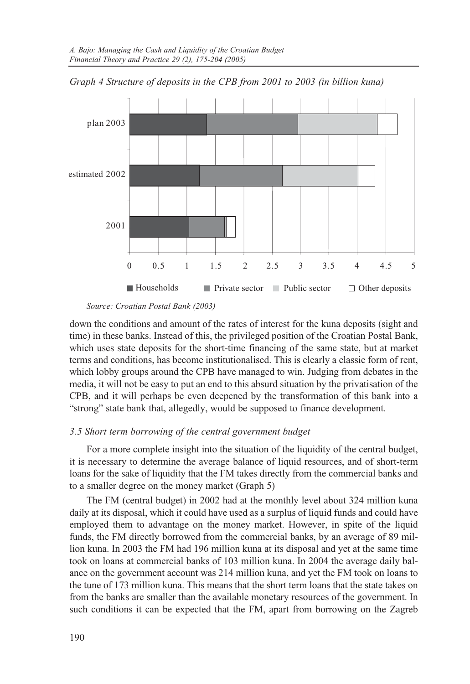

*Graph 4 Structure of deposits in the CPB from 2001 to 2003 (in billion kuna)*

*Source: Croatian Postal Bank (2003)*

down the conditions and amount of the rates of interest for the kuna deposits (sight and time) in these banks. Instead of this, the privileged position of the Croatian Postal Bank, which uses state deposits for the short-time financing of the same state, but at market terms and conditions, has become institutionalised. This is clearly a classic form of rent, which lobby groups around the CPB have managed to win. Judging from debates in the media, it will not be easy to put an end to this absurd situation by the privatisation of the CPB, and it will perhaps be even deepened by the transformation of this bank into a "strong" state bank that, allegedly, would be supposed to finance development.

### *3.5 Short term borrowing of the central government budget*

For a more complete insight into the situation of the liquidity of the central budget, it is necessary to determine the average balance of liquid resources, and of short-term loans for the sake of liquidity that the FM takes directly from the commercial banks and to a smaller degree on the money market (Graph 5)

The FM (central budget) in 2002 had at the monthly level about 324 million kuna daily at its disposal, which it could have used as a surplus of liquid funds and could have employed them to advantage on the money market. However, in spite of the liquid funds, the FM directly borrowed from the commercial banks, by an average of 89 million kuna. In 2003 the FM had 196 million kuna at its disposal and yet at the same time took on loans at commercial banks of 103 million kuna. In 2004 the average daily balance on the government account was 214 million kuna, and yet the FM took on loans to the tune of 173 million kuna. This means that the short term loans that the state takes on from the banks are smaller than the available monetary resources of the government. In such conditions it can be expected that the FM, apart from borrowing on the Zagreb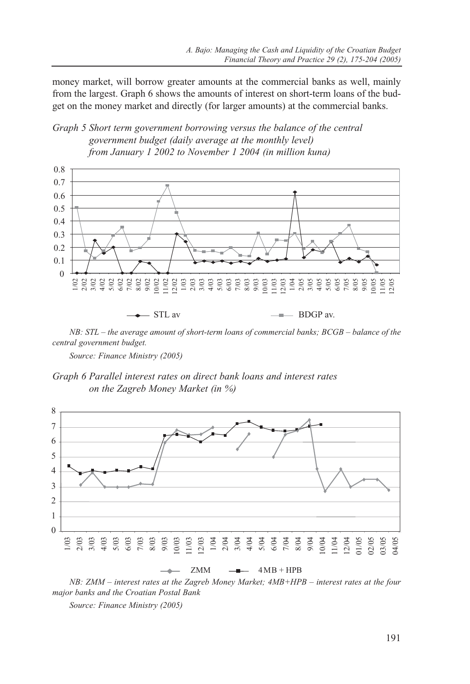money market, will borrow greater amounts at the commercial banks as well, mainly from the largest. Graph 6 shows the amounts of interest on short-term loans of the budget on the money market and directly (for larger amounts) at the commercial banks.

## *Graph 5 Short term government borrowing versus the balance of the central government budget (daily average at the monthly level) from January 1 2002 to November 1 2004 (in million kuna)*



*NB: STL – the average amount of short-term loans of commercial banks; BCGB – balance of the central government budget.*

*Source: Finance Ministry (2005)*

*Graph 6 Parallel interest rates on direct bank loans and interest rates on the Zagreb Money Market (in %)*



*NB: ZMM – interest rates at the Zagreb Money Market; 4MB+HPB – interest rates at the four major banks and the Croatian Postal Bank*

*Source: Finance Ministry (2005)*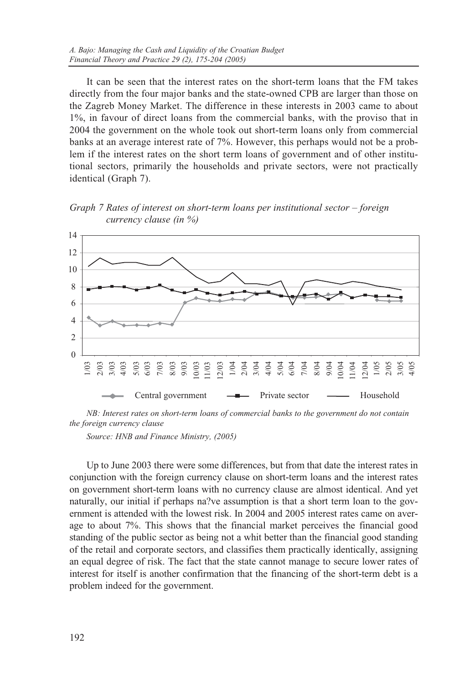It can be seen that the interest rates on the short-term loans that the FM takes directly from the four major banks and the state-owned CPB are larger than those on the Zagreb Money Market. The difference in these interests in 2003 came to about 1%, in favour of direct loans from the commercial banks, with the proviso that in 2004 the government on the whole took out short-term loans only from commercial banks at an average interest rate of 7%. However, this perhaps would not be a problem if the interest rates on the short term loans of government and of other institutional sectors, primarily the households and private sectors, were not practically identical (Graph 7).

*Graph 7 Rates of interest on short-term loans per institutional sector – foreign currency clause (in %)*



*NB: Interest rates on short-term loans of commercial banks to the government do not contain the foreign currency clause*

*Source: HNB and Finance Ministry, (2005)* 

Up to June 2003 there were some differences, but from that date the interest rates in conjunction with the foreign currency clause on short-term loans and the interest rates on government short-term loans with no currency clause are almost identical. And yet naturally, our initial if perhaps na?ve assumption is that a short term loan to the government is attended with the lowest risk. In 2004 and 2005 interest rates came on average to about 7%. This shows that the financial market perceives the financial good standing of the public sector as being not a whit better than the financial good standing of the retail and corporate sectors, and classifies them practically identically, assigning an equal degree of risk. The fact that the state cannot manage to secure lower rates of interest for itself is another confirmation that the financing of the short-term debt is a problem indeed for the government.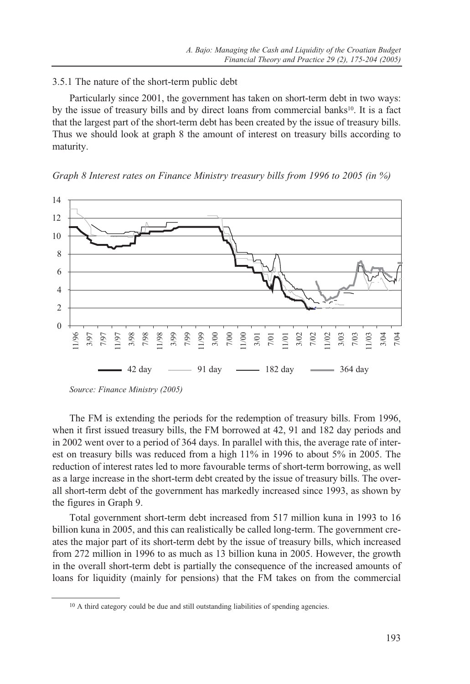### 3.5.1 The nature of the short-term public debt

Particularly since 2001, the government has taken on short-term debt in two ways: by the issue of treasury bills and by direct loans from commercial banks $10$ . It is a fact that the largest part of the short-term debt has been created by the issue of treasury bills. Thus we should look at graph 8 the amount of interest on treasury bills according to maturity.





The FM is extending the periods for the redemption of treasury bills. From 1996, when it first issued treasury bills, the FM borrowed at 42, 91 and 182 day periods and in 2002 went over to a period of 364 days. In parallel with this, the average rate of interest on treasury bills was reduced from a high 11% in 1996 to about 5% in 2005. The reduction of interest rates led to more favourable terms of short-term borrowing, as well as a large increase in the short-term debt created by the issue of treasury bills. The overall short-term debt of the government has markedly increased since 1993, as shown by the figures in Graph 9.

Total government short-term debt increased from 517 million kuna in 1993 to 16 billion kuna in 2005, and this can realistically be called long-term. The government creates the major part of its short-term debt by the issue of treasury bills, which increased from 272 million in 1996 to as much as 13 billion kuna in 2005. However, the growth in the overall short-term debt is partially the consequence of the increased amounts of loans for liquidity (mainly for pensions) that the FM takes on from the commercial

*Source: Finance Ministry (2005)*

<sup>&</sup>lt;sup>10</sup> A third category could be due and still outstanding liabilities of spending agencies.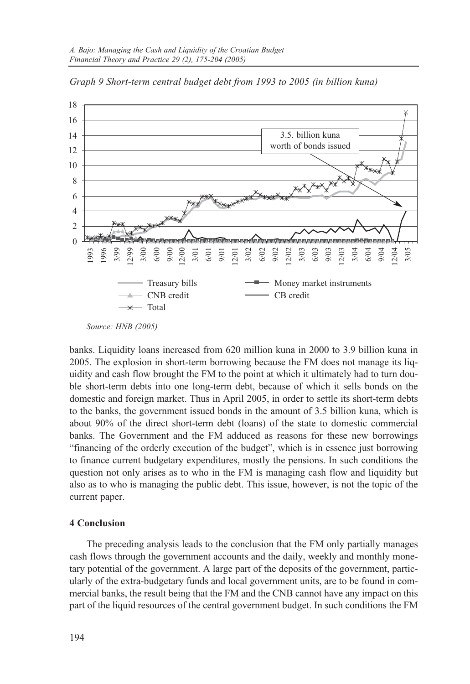

*Graph 9 Short-term central budget debt from 1993 to 2005 (in billion kuna)* 

banks. Liquidity loans increased from 620 million kuna in 2000 to 3.9 billion kuna in 2005. The explosion in short-term borrowing because the FM does not manage its liquidity and cash flow brought the FM to the point at which it ultimately had to turn double short-term debts into one long-term debt, because of which it sells bonds on the domestic and foreign market. Thus in April 2005, in order to settle its short-term debts to the banks, the government issued bonds in the amount of 3.5 billion kuna, which is about 90% of the direct short-term debt (loans) of the state to domestic commercial banks. The Government and the FM adduced as reasons for these new borrowings "financing of the orderly execution of the budget", which is in essence just borrowing to finance current budgetary expenditures, mostly the pensions. In such conditions the question not only arises as to who in the FM is managing cash flow and liquidity but also as to who is managing the public debt. This issue, however, is not the topic of the current paper.

#### **4 Conclusion**

The preceding analysis leads to the conclusion that the FM only partially manages cash flows through the government accounts and the daily, weekly and monthly monetary potential of the government. A large part of the deposits of the government, particularly of the extra-budgetary funds and local government units, are to be found in commercial banks, the result being that the FM and the CNB cannot have any impact on this part of the liquid resources of the central government budget. In such conditions the FM

*Source: HNB (2005)*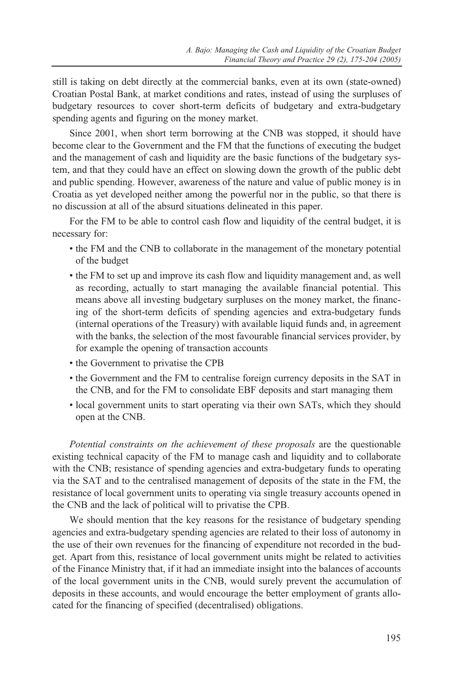still is taking on debt directly at the commercial banks, even at its own (state-owned) Croatian Postal Bank, at market conditions and rates, instead of using the surpluses of budgetary resources to cover short-term deficits of budgetary and extra-budgetary spending agents and figuring on the money market.

Since 2001, when short term borrowing at the CNB was stopped, it should have become clear to the Government and the FM that the functions of executing the budget and the management of cash and liquidity are the basic functions of the budgetary system, and that they could have an effect on slowing down the growth of the public debt and public spending. However, awareness of the nature and value of public money is in Croatia as yet developed neither among the powerful nor in the public, so that there is no discussion at all of the absurd situations delineated in this paper.

For the FM to be able to control cash flow and liquidity of the central budget, it is necessary for:

- the FM and the CNB to collaborate in the management of the monetary potential of the budget
- the FM to set up and improve its cash flow and liquidity management and, as well as recording, actually to start managing the available financial potential. This means above all investing budgetary surpluses on the money market, the financing of the short-term deficits of spending agencies and extra-budgetary funds (internal operations of the Treasury) with available liquid funds and, in agreement with the banks, the selection of the most favourable financial services provider, by for example the opening of transaction accounts
- the Government to privatise the CPB
- the Government and the FM to centralise foreign currency deposits in the SAT in the CNB, and for the FM to consolidate EBF deposits and start managing them
- local government units to start operating via their own SATs, which they should open at the CNB.

*Potential constraints on the achievement of these proposals* are the questionable existing technical capacity of the FM to manage cash and liquidity and to collaborate with the CNB; resistance of spending agencies and extra-budgetary funds to operating via the SAT and to the centralised management of deposits of the state in the FM, the resistance of local government units to operating via single treasury accounts opened in the CNB and the lack of political will to privatise the CPB.

We should mention that the key reasons for the resistance of budgetary spending agencies and extra-budgetary spending agencies are related to their loss of autonomy in the use of their own revenues for the financing of expenditure not recorded in the budget. Apart from this, resistance of local government units might be related to activities of the Finance Ministry that, if it had an immediate insight into the balances of accounts of the local government units in the CNB, would surely prevent the accumulation of deposits in these accounts, and would encourage the better employment of grants allocated for the financing of specified (decentralised) obligations.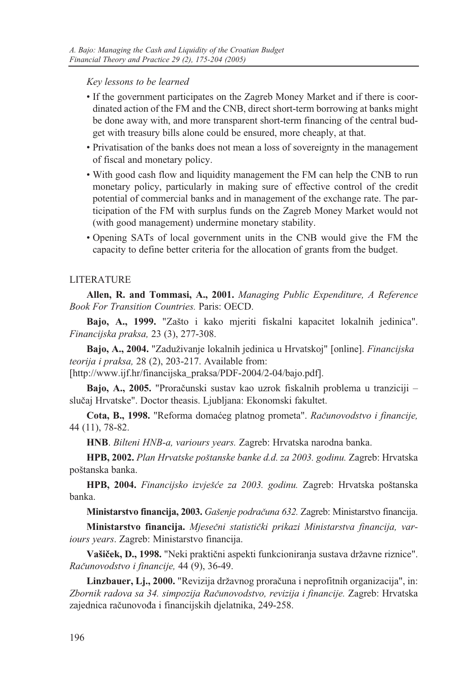*Key lessons to be learned*

- If the government participates on the Zagreb Money Market and if there is coordinated action of the FM and the CNB, direct short-term borrowing at banks might be done away with, and more transparent short-term financing of the central budget with treasury bills alone could be ensured, more cheaply, at that.
- Privatisation of the banks does not mean a loss of sovereignty in the management of fiscal and monetary policy.
- With good cash flow and liquidity management the FM can help the CNB to run monetary policy, particularly in making sure of effective control of the credit potential of commercial banks and in management of the exchange rate. The participation of the FM with surplus funds on the Zagreb Money Market would not (with good management) undermine monetary stability.
- Opening SATs of local government units in the CNB would give the FM the capacity to define better criteria for the allocation of grants from the budget.

## LITERATURE

**Allen, R. and Tommasi, A., 2001.** *Managing Public Expenditure, A Reference Book For Transition Countries.* Paris: OECD.

**Bajo, A., 1999.** "Zašto i kako mjeriti fiskalni kapacitet lokalnih jedinica". *Financijska praksa,* 23 (3), 277-308.

Bajo, A., 2004. "Zaduživanje lokalnih jedinica u Hrvatskoj" [online]. *Financijska teorija i praksa,* 28 (2), 203-217. Available from:

[http://www.ijf.hr/financijska\_praksa/PDF-2004/2-04/bajo.pdf].

**Bajo, A., 2005.** "Proraèunski sustav kao uzrok fiskalnih problema u tranziciji – sluèaj Hrvatske". Doctor theasis. Ljubljana: Ekonomski fakultet.

**Cota, B., 1998.** "Reforma domaæeg platnog prometa". *Raèunovodstvo i financije,* 44 (11), 78-82.

**HNB**. *Bilteni HNB-a, variours years.* Zagreb: Hrvatska narodna banka.

**HPB, 2002.** *Plan Hrvatske poštanske banke d.d. za 2003. godinu.* Zagreb: Hrvatska poštanska banka.

**HPB, 2004.** *Financijsko izvješæe za 2003. godinu.* Zagreb: Hrvatska poštanska banka.

**Ministarstvo financija, 2003.** *Gašenje podraèuna 632.* Zagreb: Ministarstvo financija.

**Ministarstvo financija.** *Mjeseèni statistièki prikazi Ministarstva financija, variours years*. Zagreb: Ministarstvo financija.

Vašiček, D., 1998. "Neki praktični aspekti funkcioniranja sustava državne riznice". *Raèunovodstvo i financije,* 44 (9), 36-49.

Linzbauer, L<sub>i</sub>., 2000. "Revizija državnog proračuna i neprofitnih organizacija", in: *Zbornik radova sa 34. simpozija Raèunovodstvo, revizija i financije.* Zagreb: Hrvatska zajednica raèunovoða i financijskih djelatnika, 249-258.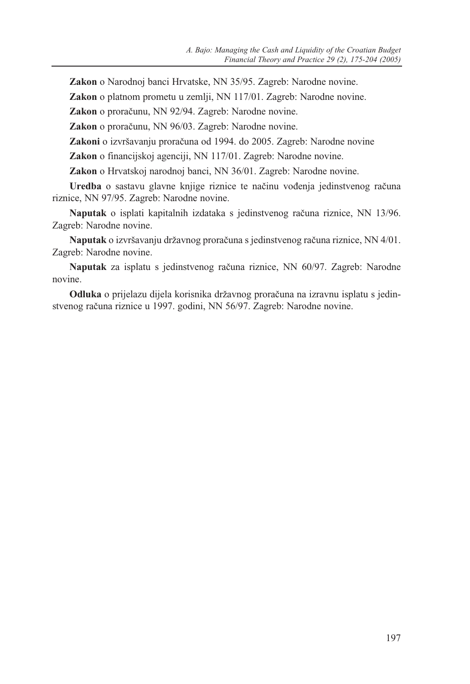**Zakon** o Narodnoj banci Hrvatske, NN 35/95. Zagreb: Narodne novine.

**Zakon** o platnom prometu u zemlji, NN 117/01. Zagreb: Narodne novine.

**Zakon** o proraèunu, NN 92/94. Zagreb: Narodne novine.

**Zakon** o proraèunu, NN 96/03. Zagreb: Narodne novine.

**Zakoni** o izvršavanju proraèuna od 1994. do 2005. Zagreb: Narodne novine

**Zakon** o financijskoj agenciji, NN 117/01. Zagreb: Narodne novine.

**Zakon** o Hrvatskoj narodnoj banci, NN 36/01. Zagreb: Narodne novine.

**Uredba** o sastavu glavne knjige riznice te naèinu voðenja jedinstvenog raèuna riznice, NN 97/95. Zagreb: Narodne novine.

**Naputak** o isplati kapitalnih izdataka s jedinstvenog raèuna riznice, NN 13/96. Zagreb: Narodne novine.

Naputak o izvršavanju državnog proračuna s jedinstvenog računa riznice, NN 4/01. Zagreb: Narodne novine.

**Naputak** za isplatu s jedinstvenog raèuna riznice, NN 60/97. Zagreb: Narodne novine.

Odluka o prijelazu dijela korisnika državnog proračuna na izravnu isplatu s jedinstvenog raèuna riznice u 1997. godini, NN 56/97. Zagreb: Narodne novine.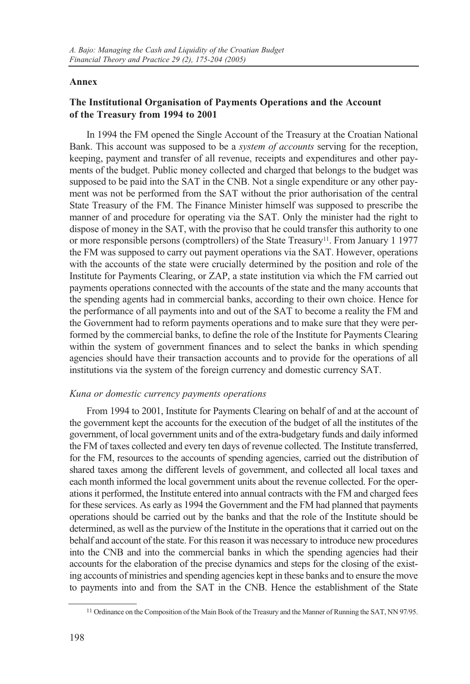### **Annex**

# **The Institutional Organisation of Payments Operations and the Account of the Treasury from 1994 to 2001**

In 1994 the FM opened the Single Account of the Treasury at the Croatian National Bank. This account was supposed to be a *system of accounts* serving for the reception, keeping, payment and transfer of all revenue, receipts and expenditures and other payments of the budget. Public money collected and charged that belongs to the budget was supposed to be paid into the SAT in the CNB. Not a single expenditure or any other payment was not be performed from the SAT without the prior authorisation of the central State Treasury of the FM. The Finance Minister himself was supposed to prescribe the manner of and procedure for operating via the SAT. Only the minister had the right to dispose of money in the SAT, with the proviso that he could transfer this authority to one or more responsible persons (comptrollers) of the State Treasury<sup>11</sup>. From January 1 1977 the FM was supposed to carry out payment operations via the SAT. However, operations with the accounts of the state were crucially determined by the position and role of the Institute for Payments Clearing, or ZAP, a state institution via which the FM carried out payments operations connected with the accounts of the state and the many accounts that the spending agents had in commercial banks, according to their own choice. Hence for the performance of all payments into and out of the SAT to become a reality the FM and the Government had to reform payments operations and to make sure that they were performed by the commercial banks, to define the role of the Institute for Payments Clearing within the system of government finances and to select the banks in which spending agencies should have their transaction accounts and to provide for the operations of all institutions via the system of the foreign currency and domestic currency SAT.

### *Kuna or domestic currency payments operations*

From 1994 to 2001, Institute for Payments Clearing on behalf of and at the account of the government kept the accounts for the execution of the budget of all the institutes of the government, of local government units and of the extra-budgetary funds and daily informed the FM of taxes collected and every ten days of revenue collected. The Institute transferred, for the FM, resources to the accounts of spending agencies, carried out the distribution of shared taxes among the different levels of government, and collected all local taxes and each month informed the local government units about the revenue collected. For the operations it performed, the Institute entered into annual contracts with the FM and charged fees for these services. As early as 1994 the Government and the FM had planned that payments operations should be carried out by the banks and that the role of the Institute should be determined, as well as the purview of the Institute in the operations that it carried out on the behalf and account of the state. For this reason it was necessary to introduce new procedures into the CNB and into the commercial banks in which the spending agencies had their accounts for the elaboration of the precise dynamics and steps for the closing of the existing accounts of ministries and spending agencies kept in these banks and to ensure the move to payments into and from the SAT in the CNB. Hence the establishment of the State

<sup>11</sup> Ordinance on the Composition of the Main Book of the Treasury and the Manner of Running the SAT, NN 97/95.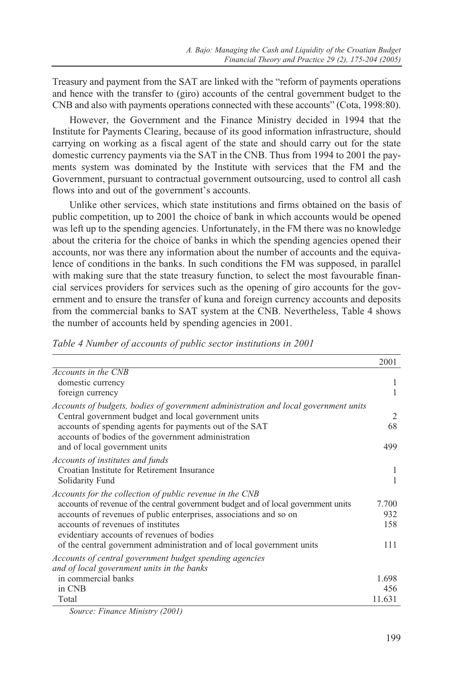Treasury and payment from the SAT are linked with the "reform of payments operations and hence with the transfer to (giro) accounts of the central government budget to the CNB and also with payments operations connected with these accounts" (Cota, 1998:80).

However, the Government and the Finance Ministry decided in 1994 that the Institute for Payments Clearing, because of its good information infrastructure, should carrying on working as a fiscal agent of the state and should carry out for the state domestic currency payments via the SAT in the CNB. Thus from 1994 to 2001 the payments system was dominated by the Institute with services that the FM and the Government, pursuant to contractual government outsourcing, used to control all cash flows into and out of the government's accounts.

Unlike other services, which state institutions and firms obtained on the basis of public competition, up to 2001 the choice of bank in which accounts would be opened was left up to the spending agencies. Unfortunately, in the FM there was no knowledge about the criteria for the choice of banks in which the spending agencies opened their accounts, nor was there any information about the number of accounts and the equivalence of conditions in the banks. In such conditions the FM was supposed, in parallel with making sure that the state treasury function, to select the most favourable financial services providers for services such as the opening of giro accounts for the government and to ensure the transfer of kuna and foreign currency accounts and deposits from the commercial banks to SAT system at the CNB. Nevertheless, Table 4 shows the number of accounts held by spending agencies in 2001.

|  |  | Table 4 Number of accounts of public sector institutions in 2001 |  |  |
|--|--|------------------------------------------------------------------|--|--|
|--|--|------------------------------------------------------------------|--|--|

|                                                                                                                                                                                                                                                                                                                                                                                    | 2001                       |
|------------------------------------------------------------------------------------------------------------------------------------------------------------------------------------------------------------------------------------------------------------------------------------------------------------------------------------------------------------------------------------|----------------------------|
| Accounts in the CNB<br>domestic currency<br>foreign currency                                                                                                                                                                                                                                                                                                                       | 1                          |
| Accounts of budgets, bodies of government administration and local government units<br>Central government budget and local government units                                                                                                                                                                                                                                        | 2                          |
| accounts of spending agents for payments out of the SAT<br>accounts of bodies of the government administration<br>and of local government units                                                                                                                                                                                                                                    | 68<br>499                  |
| Accounts of institutes and funds<br>Croatian Institute for Retirement Insurance<br>Solidarity Fund                                                                                                                                                                                                                                                                                 | 1                          |
| Accounts for the collection of public revenue in the CNB<br>accounts of revenue of the central government budget and of local government units<br>accounts of revenues of public enterprises, associations and so on<br>accounts of revenues of institutes<br>evidentiary accounts of revenues of bodies<br>of the central government administration and of local government units | 7.700<br>932<br>158<br>111 |
| Accounts of central government budget spending agencies<br>and of local government units in the banks<br>in commercial banks<br>in CNB<br>Total                                                                                                                                                                                                                                    | 1.698<br>456<br>11.631     |

*Source: Finance Ministry (2001)*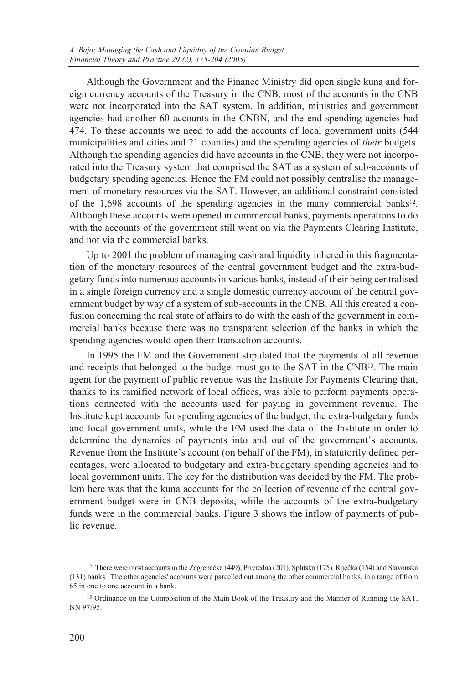Although the Government and the Finance Ministry did open single kuna and foreign currency accounts of the Treasury in the CNB, most of the accounts in the CNB were not incorporated into the SAT system. In addition, ministries and government agencies had another 60 accounts in the CNBN, and the end spending agencies had 474. To these accounts we need to add the accounts of local government units (544 municipalities and cities and 21 counties) and the spending agencies of *their* budgets. Although the spending agencies did have accounts in the CNB, they were not incorporated into the Treasury system that comprised the SAT as a system of sub-accounts of budgetary spending agencies. Hence the FM could not possibly centralise the management of monetary resources via the SAT. However, an additional constraint consisted of the  $1,698$  accounts of the spending agencies in the many commercial banks<sup>12</sup>. Although these accounts were opened in commercial banks, payments operations to do with the accounts of the government still went on via the Payments Clearing Institute, and not via the commercial banks.

Up to 2001 the problem of managing cash and liquidity inhered in this fragmentation of the monetary resources of the central government budget and the extra-budgetary funds into numerous accounts in various banks, instead of their being centralised in a single foreign currency and a single domestic currency account of the central government budget by way of a system of sub-accounts in the CNB. All this created a confusion concerning the real state of affairs to do with the cash of the government in commercial banks because there was no transparent selection of the banks in which the spending agencies would open their transaction accounts.

In 1995 the FM and the Government stipulated that the payments of all revenue and receipts that belonged to the budget must go to the SAT in the CNB13. The main agent for the payment of public revenue was the Institute for Payments Clearing that, thanks to its ramified network of local offices, was able to perform payments operations connected with the accounts used for paying in government revenue. The Institute kept accounts for spending agencies of the budget, the extra-budgetary funds and local government units, while the FM used the data of the Institute in order to determine the dynamics of payments into and out of the government's accounts. Revenue from the Institute's account (on behalf of the FM), in statutorily defined percentages, were allocated to budgetary and extra-budgetary spending agencies and to local government units. The key for the distribution was decided by the FM. The problem here was that the kuna accounts for the collection of revenue of the central government budget were in CNB deposits, while the accounts of the extra-budgetary funds were in the commercial banks. Figure 3 shows the inflow of payments of public revenue.

<sup>&</sup>lt;sup>12</sup> There were most accounts in the Zagrebačka (449), Privredna (201), Splitska (175), Riječka (154) and Slavonska (131) banks. The other agencies' accounts were parcelled out among the other commercial banks, in a range of from 65 in one to one account in a bank.

<sup>13</sup> Ordinance on the Composition of the Main Book of the Treasury and the Manner of Running the SAT, NN 97/95.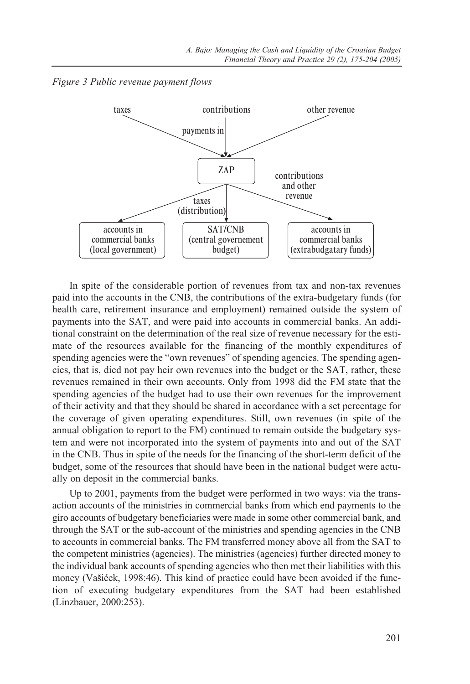*Figure 3 Public revenue payment flows*



In spite of the considerable portion of revenues from tax and non-tax revenues paid into the accounts in the CNB, the contributions of the extra-budgetary funds (for health care, retirement insurance and employment) remained outside the system of payments into the SAT, and were paid into accounts in commercial banks. An additional constraint on the determination of the real size of revenue necessary for the estimate of the resources available for the financing of the monthly expenditures of spending agencies were the "own revenues" of spending agencies. The spending agencies, that is, died not pay heir own revenues into the budget or the SAT, rather, these revenues remained in their own accounts. Only from 1998 did the FM state that the spending agencies of the budget had to use their own revenues for the improvement of their activity and that they should be shared in accordance with a set percentage for the coverage of given operating expenditures. Still, own revenues (in spite of the annual obligation to report to the FM) continued to remain outside the budgetary system and were not incorporated into the system of payments into and out of the SAT in the CNB. Thus in spite of the needs for the financing of the short-term deficit of the budget, some of the resources that should have been in the national budget were actually on deposit in the commercial banks.

Up to 2001, payments from the budget were performed in two ways: via the transaction accounts of the ministries in commercial banks from which end payments to the giro accounts of budgetary beneficiaries were made in some other commercial bank, and through the SAT or the sub-account of the ministries and spending agencies in the CNB to accounts in commercial banks. The FM transferred money above all from the SAT to the competent ministries (agencies). The ministries (agencies) further directed money to the individual bank accounts of spending agencies who then met their liabilities with this money (Vašićek, 1998:46). This kind of practice could have been avoided if the function of executing budgetary expenditures from the SAT had been established (Linzbauer, 2000:253).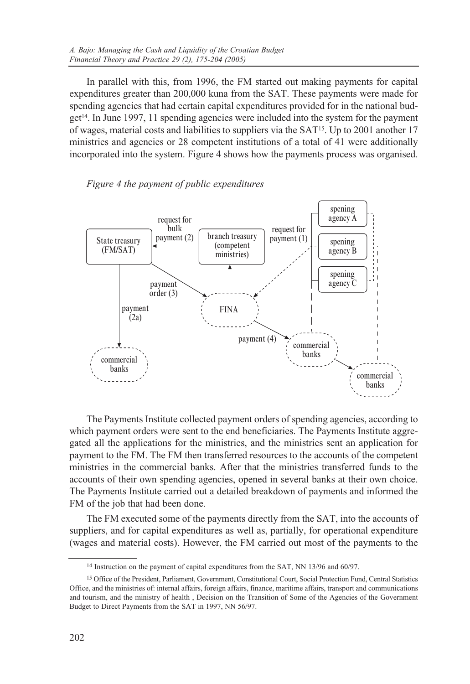In parallel with this, from 1996, the FM started out making payments for capital expenditures greater than 200,000 kuna from the SAT. These payments were made for spending agencies that had certain capital expenditures provided for in the national bud $gct<sup>14</sup>$ . In June 1997, 11 spending agencies were included into the system for the payment of wages, material costs and liabilities to suppliers via the SAT15. Up to 2001 another 17 ministries and agencies or 28 competent institutions of a total of 41 were additionally incorporated into the system. Figure 4 shows how the payments process was organised.

### *Figure 4 the payment of public expenditures*



The Payments Institute collected payment orders of spending agencies, according to which payment orders were sent to the end beneficiaries. The Payments Institute aggregated all the applications for the ministries, and the ministries sent an application for payment to the FM. The FM then transferred resources to the accounts of the competent ministries in the commercial banks. After that the ministries transferred funds to the accounts of their own spending agencies, opened in several banks at their own choice. The Payments Institute carried out a detailed breakdown of payments and informed the FM of the job that had been done.

The FM executed some of the payments directly from the SAT, into the accounts of suppliers, and for capital expenditures as well as, partially, for operational expenditure (wages and material costs). However, the FM carried out most of the payments to the

<sup>14</sup> Instruction on the payment of capital expenditures from the SAT, NN 13/96 and 60/97.

<sup>15</sup> Office of the President, Parliament, Government, Constitutional Court, Social Protection Fund, Central Statistics Office, and the ministries of: internal affairs, foreign affairs, finance, maritime affairs, transport and communications and tourism, and the ministry of health , Decision on the Transition of Some of the Agencies of the Government Budget to Direct Payments from the SAT in 1997, NN 56/97.